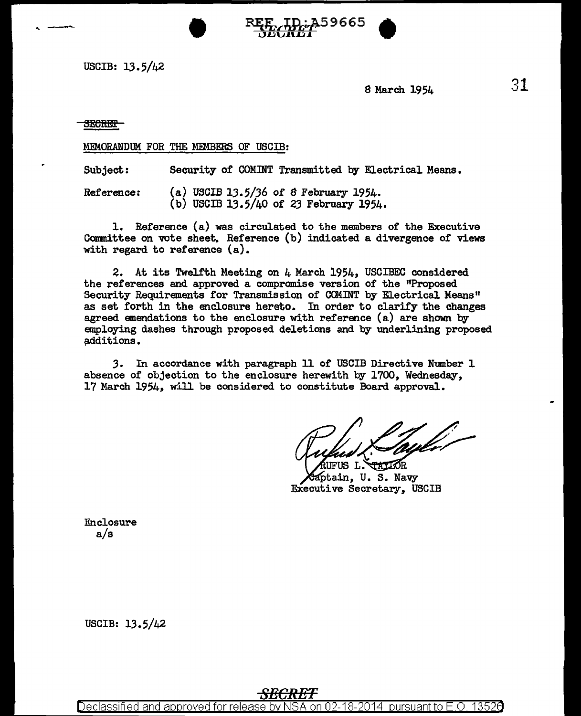-.. ----- • ~7it1fifr59665 • USCIB: 13.5/42

8 March 1954

**SECRET** 

MEMORANDUM FOR THE MEMBERS OF USCIB:

Subject: Security of COMINT Transmitted by Electrical Means.

Reference: {a) USCIB 13.5/36 of 8 February 1954. (b) USCIB 13.5/40 of 23 February 1954.

1. Reference (a) was circulated to the members of the Executive Committee on vote sheet. Reference (b) indicated a divergence of views with regard to reference (a).

2. At its Twelfth Meeting on 4 March 1954, USCIBEC considered the references and approved. a compromise version of the "Proposed Security Requirements for Transmission of CClUNT by Electrical Means" as set forth in the enclosure hereto. In order to clarify the changes agreed emendations to the enclosure with reference (a) are shown by employing dashes through proposed deletions and by underlining proposed additions.

3. In accordance with paragraph 11 of USCIB Directive Number 1 absence of objection to the enclosure herewith by 1700, Wednesday, 17 March 1954, will be considered to constitute Board approval.

Rufus l` **PATIOR** 

Saptain, U. S. Navy Executive Secretary, USCIB

Enclosure a/s

USCIB: 13.5/42

# *SECRET*

Declassified and approved for release by NSA on 02-18-2014  $\,$  pursuant to E.O. 13526  $\,$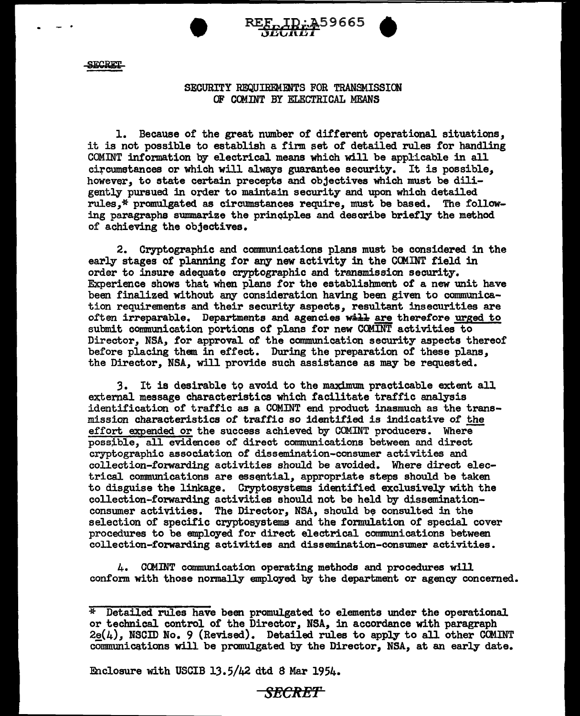

### SECURITY REQUIREMENTS FOR TRANSMISSION OF C@INT BY ELECTRICAL MEANS

1. Because of the great number of different operational situations, it is not possible to establish a firm set of detailed rules for handling COMINT information by electrical means which will be applicable in all ci:rcumstances or which wi.11 always guarantee security. It is possible, however, to state certain precepts and objectives which must be diligently pursued in order to maintain security and upon which detailed rules,\* promulgated as circumstances require, must be based. The following paragraphs summarize the principles and describe briefly the method of achieving the objectives.

2. Cryptographic and communications plans must be considered in the early stages of planning for any new activity in the COMINT field in order to insure adequate cryptographic and transmission security. Experience shows that when plans for the establishment of a new unit have been finalized without any consideration having been given to communication requirements and their security aspects, resultant insecurities are often irreparable. Departments and agencies will are therefore urged to submit communication portions of plans for new COMINT activities to Director, NSA, for approval of the communication security aspects thereof before placing them in effect. During the preparation of these plans, the Director, NSA, will provide such assistance as may be requested.

3. It is desirable t9 avoid to the maximum practicable extent all external message characteristics which facilitate traffic analysis identification of traffic as a. COMINT end product inasmuch as the transmission characteristics of traffic so identified is indicative of the effort expended or the success achieved by COMINT producers. Where possible, all evidences of direct communications between and direct cryptographic association of dissemination-consumer activities and collection-fozwarding activities should be avoided. Where direct electrical communications are essential, appropriate steps should be taken to disguise the linkage. Cryptosystems identified exclusively with the collection-forwarding activities should not be held by disseminationconsumer activities. The Director, NSA, should be consulted in the selection of specific cryptosystems and the formulation of special cover procedures to be employed for direct electrical communications between collection-forwarding activities and dissemination-consumer activities.

4. CCMINT communication operating methods and procedures will conform with those normally employed by the department or agency concerned.

Enclosure with USCIB 13.5/42 dtd 8 Mar 1954.

<del>- SECRET -</del>

 $*$  Detailed rules have been promulgated to elements under the operational or technical control of the Director, NSA, in accordance with paragraph  $2e(4)$ , NSCID No. 9 (Revised). Detailed rules to apply to all other COMINT communications will be promulgated by the Director, NSA, at an early date.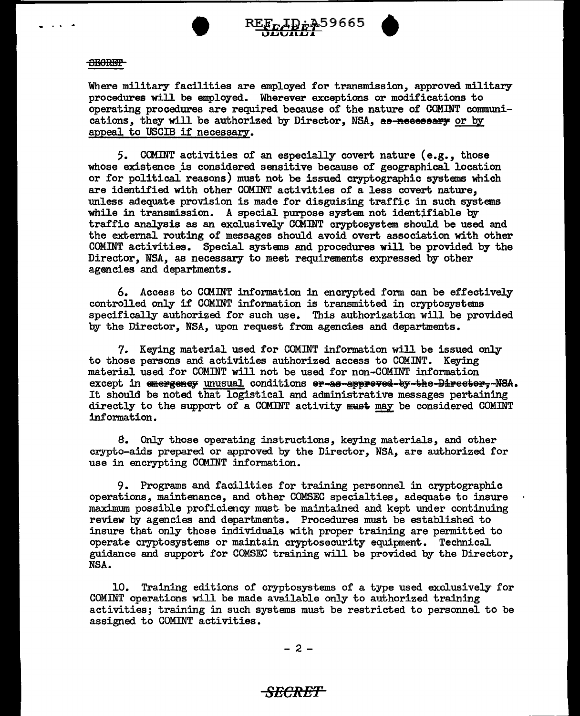



Where military facilities are employed for transmission, approved military procedures will be employed. Wherever exceptions or modifications to operating procedures are required because of the nature of COMINT communications, they will be authorized by Director, NSA, as-neeessary or by appeal to USCIB if necessary.

5. COMINT activities of an especially covert nature (e.g., those whose existence is considered sensitive because of geographical location or for political reasons) must not be issued cryptographic systems which are identified with other COMINT activities of a less covert nature, unless adequate provision is made for disguising traffic in such systems while in transmission. A special purpose system not identifiable by traffic analysis as an exclusively CCMINT cryptosystem. should be used and the external routing of messages should avoid overt association with other COMINT activities. Special systems and procedures will be provided by the Director, NSA, as necessary to meet requirements expressed by other agencies and departments.

6. Access to CCMINT information in encrypted form can be effectively controlled only if COMINT information is transmitted in cryptosystems specifically authorized for such use. This authorization will be provided by the Director, NSA, upon request from agencies and departments.

7. Keying material used for COMINT information will be issued only to those persons and activities authorized access to COMINT. Keying material used for COMINT will not be used for non-COMINT information except in emergeney unusual conditions er-as-appreved-by-the-Director,-NSA. It should be noted that logistical and administrative messages pertaining directly to the support of a COMINT activity must may be considered COMINT information.

8. Only those operating instructions, keying materials, and other crypto-aids prepared or approved by the Director, NSA, are authorized for use in encrypting CCMINT information.

9. Programs and facilities for training personnel in cryptographic operations, maintenance, and other COMSEC specialties, adequate to insure maximum possible proficiency must be maintained and kept under continuing review by agencies and departments. Procedures must be established to insure that only those individuals with proper training are permitted to operate cryptosystems or maintain cryptosecurity equipment. Technical guidance and support for COMSEC training will be provided by the Director, NSA.

10. Training editions of cryptosystems of a type used exclusively for COMINT operations will be made available only to authorized training activities; training in such systems must be restricted to personnel to be assigned to COMINT activities.

 $- 2 -$ 

### *SECRET*